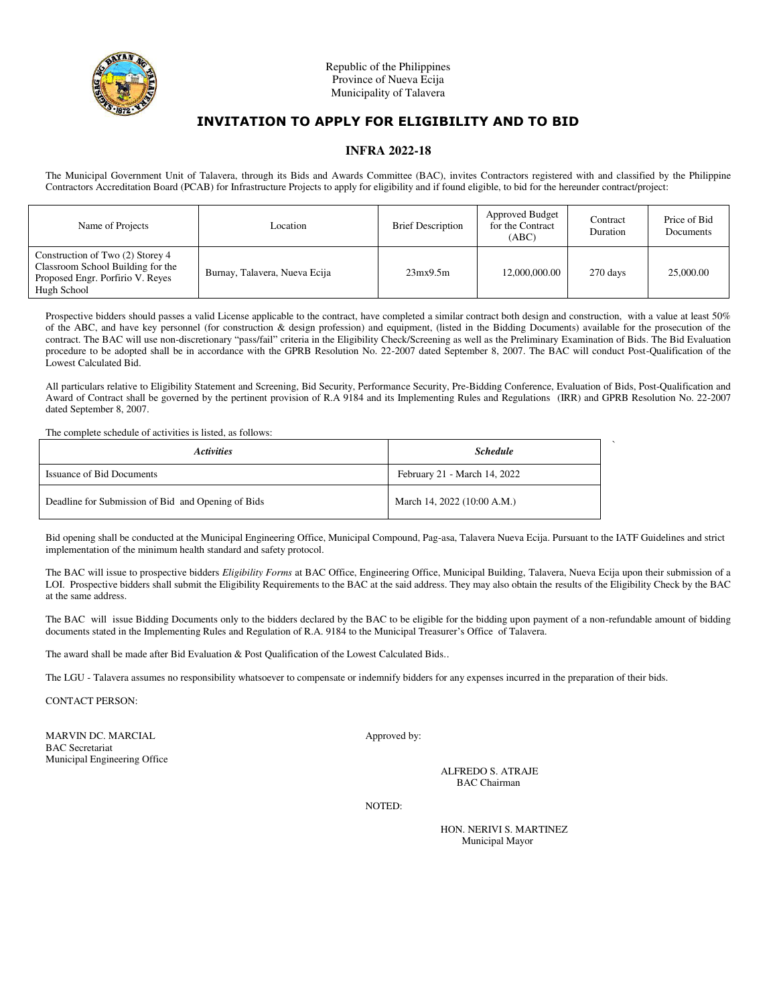

# **INVITATION TO APPLY FOR ELIGIBILITY AND TO BID**

#### **INFRA 2022-18**

The Municipal Government Unit of Talavera, through its Bids and Awards Committee (BAC), invites Contractors registered with and classified by the Philippine Contractors Accreditation Board (PCAB) for Infrastructure Projects to apply for eligibility and if found eligible, to bid for the hereunder contract/project:

| Name of Projects                                                                                                         | Location                      | <b>Brief Description</b> | <b>Approved Budget</b><br>for the Contract<br>(ABC) | Contract<br>Duration | Price of Bid<br>Documents |
|--------------------------------------------------------------------------------------------------------------------------|-------------------------------|--------------------------|-----------------------------------------------------|----------------------|---------------------------|
| Construction of Two (2) Storey 4<br>Classroom School Building for the<br>Proposed Engr. Porfirio V. Reyes<br>Hugh School | Burnay, Talavera, Nueva Ecija | 23mx9.5m                 | 12,000,000.00                                       | 270 days             | 25,000.00                 |

Prospective bidders should passes a valid License applicable to the contract, have completed a similar contract both design and construction, with a value at least 50% of the ABC, and have key personnel (for construction & design profession) and equipment, (listed in the Bidding Documents) available for the prosecution of the contract. The BAC will use non-discretionary "pass/fail" criteria in the Eligibility Check/Screening as well as the Preliminary Examination of Bids. The Bid Evaluation procedure to be adopted shall be in accordance with the GPRB Resolution No. 22-2007 dated September 8, 2007. The BAC will conduct Post-Qualification of the Lowest Calculated Bid.

All particulars relative to Eligibility Statement and Screening, Bid Security, Performance Security, Pre-Bidding Conference, Evaluation of Bids, Post-Qualification and Award of Contract shall be governed by the pertinent provision of R.A 9184 and its Implementing Rules and Regulations (IRR) and GPRB Resolution No. 22-2007 dated September 8, 2007.

#### The complete schedule of activities is listed, as follows:

| <b>Activities</b>                                  | <b>Schedule</b>              |  |
|----------------------------------------------------|------------------------------|--|
| Issuance of Bid Documents                          | February 21 - March 14, 2022 |  |
| Deadline for Submission of Bid and Opening of Bids | March 14, 2022 (10:00 A.M.)  |  |

Bid opening shall be conducted at the Municipal Engineering Office, Municipal Compound, Pag-asa, Talavera Nueva Ecija. Pursuant to the IATF Guidelines and strict implementation of the minimum health standard and safety protocol.

The BAC will issue to prospective bidders *Eligibility Forms* at BAC Office, Engineering Office, Municipal Building, Talavera, Nueva Ecija upon their submission of a LOI. Prospective bidders shall submit the Eligibility Requirements to the BAC at the said address. They may also obtain the results of the Eligibility Check by the BAC at the same address.

The BAC will issue Bidding Documents only to the bidders declared by the BAC to be eligible for the bidding upon payment of a non-refundable amount of bidding documents stated in the Implementing Rules and Regulation of R.A. 9184 to the Municipal Treasurer's Office of Talavera.

The award shall be made after Bid Evaluation & Post Qualification of the Lowest Calculated Bids..

The LGU - Talavera assumes no responsibility whatsoever to compensate or indemnify bidders for any expenses incurred in the preparation of their bids.

CONTACT PERSON:

MARVIN DC. MARCIAL Approved by: BAC Secretariat Municipal Engineering Office

ALFREDO S. ATRAJE BAC Chairman

NOTED:

HON. NERIVI S. MARTINEZ Municipal Mayor

`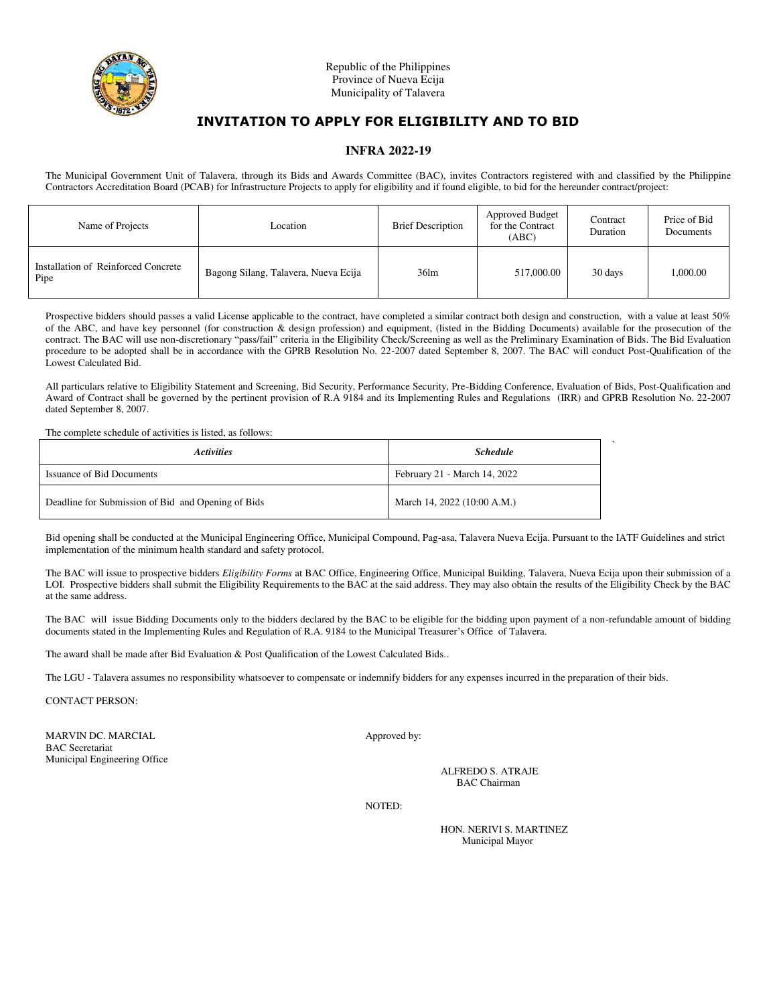

# **INVITATION TO APPLY FOR ELIGIBILITY AND TO BID**

### **INFRA 2022-19**

The Municipal Government Unit of Talavera, through its Bids and Awards Committee (BAC), invites Contractors registered with and classified by the Philippine Contractors Accreditation Board (PCAB) for Infrastructure Projects to apply for eligibility and if found eligible, to bid for the hereunder contract/project:

| Name of Projects                            | Location                             | <b>Brief Description</b> | <b>Approved Budget</b><br>for the Contract<br>(ABC) | Contract<br>Duration | Price of Bid<br>Documents |
|---------------------------------------------|--------------------------------------|--------------------------|-----------------------------------------------------|----------------------|---------------------------|
| Installation of Reinforced Concrete<br>Pipe | Bagong Silang, Talavera, Nueva Ecija | 36 <sub>lm</sub>         | 517,000.00                                          | 30 days              | 000.00                    |

Prospective bidders should passes a valid License applicable to the contract, have completed a similar contract both design and construction, with a value at least 50% of the ABC, and have key personnel (for construction & design profession) and equipment, (listed in the Bidding Documents) available for the prosecution of the contract. The BAC will use non-discretionary "pass/fail" criteria in the Eligibility Check/Screening as well as the Preliminary Examination of Bids. The Bid Evaluation procedure to be adopted shall be in accordance with the GPRB Resolution No. 22-2007 dated September 8, 2007. The BAC will conduct Post-Qualification of the Lowest Calculated Bid.

All particulars relative to Eligibility Statement and Screening, Bid Security, Performance Security, Pre-Bidding Conference, Evaluation of Bids, Post-Qualification and Award of Contract shall be governed by the pertinent provision of R.A 9184 and its Implementing Rules and Regulations (IRR) and GPRB Resolution No. 22-2007 dated September 8, 2007.

The complete schedule of activities is listed, as follows:

| <i><b>Activities</b></i>                           | <b>Schedule</b>              |  |
|----------------------------------------------------|------------------------------|--|
| Issuance of Bid Documents                          | February 21 - March 14, 2022 |  |
| Deadline for Submission of Bid and Opening of Bids | March 14, 2022 (10:00 A.M.)  |  |

Bid opening shall be conducted at the Municipal Engineering Office, Municipal Compound, Pag-asa, Talavera Nueva Ecija. Pursuant to the IATF Guidelines and strict implementation of the minimum health standard and safety protocol.

The BAC will issue to prospective bidders *Eligibility Forms* at BAC Office, Engineering Office, Municipal Building, Talavera, Nueva Ecija upon their submission of a LOI. Prospective bidders shall submit the Eligibility Requirements to the BAC at the said address. They may also obtain the results of the Eligibility Check by the BAC at the same address.

The BAC will issue Bidding Documents only to the bidders declared by the BAC to be eligible for the bidding upon payment of a non-refundable amount of bidding documents stated in the Implementing Rules and Regulation of R.A. 9184 to the Municipal Treasurer's Office of Talavera.

The award shall be made after Bid Evaluation & Post Qualification of the Lowest Calculated Bids..

The LGU - Talavera assumes no responsibility whatsoever to compensate or indemnify bidders for any expenses incurred in the preparation of their bids.

CONTACT PERSON:

MARVIN DC. MARCIAL Approved by: BAC Secretariat Municipal Engineering Office

ALFREDO S. ATRAJE BAC Chairman

NOTED:

HON. NERIVI S. MARTINEZ Municipal Mayor

`